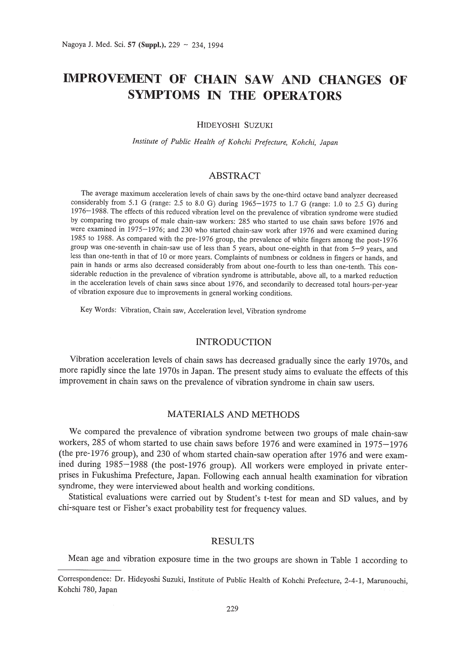# **IMPROVEMENT OF CHAIN SAW AND CHANGES OF SYMPTOMS IN THE OPERATORS**

HIDEYOSHI SUZUKI

*Institute of Public Health of Kohchi Prefecture, Kohchi, Japan*

## ABSTRACT

The average maximum acceleration levels of chain saws by the one-third octave band analyzer decreased considerably from 5.1 G (range: 2.5 to 8.0 G) during 1965-1975 to 1.7 G (range: 1.0 to 2.5 G) during 1976-1988. The effects of this reduced vibration level on the prevalence of vibration syndrome were studied by comparing two groups of male chain-saw workers: 285 who started to use chain saws before 1976 and were examined in 1975-1976; and 230 who started chain-saw work after 1976 and were examined during 1985 to 1988. As compared with the pre-1976 group, the prevalence of white fingers among the post-1976 group was one-seventh in chain-saw use of less than 5 years, about one-eighth in that from 5-9 years, and less than one-tenth in that of 10 or more years. Complaints of numbness or coldness in fingers or hands, and pain in hands or arms also decreased considerably from about one-fourth to less than one-tenth. This considerable reduction in the prevalence of vibration syndrome is attributable, above all, to a marked reduction in the acceleration levels of chain saws since about 1976, and secondarily to decreased total hours-per-year of vibration exposure due to improvements in general working conditions.

Key Words: Vibration, Chain saw, Acceleration level, Vibration syndrome

#### INTRODUCTION

Vibration acceleration levels of chain saws has decreased gradually since the early 1970s, and more rapidly since the late 1970s in Japan. The present study aims to evaluate the effects of this improvement in chain saws on the prevalence of vibration syndrome in chain saw users.

#### MATERIALS AND METHODS

We compared the prevalence of vibration syndrome between two groups of male chain-saw workers, 285 of whom started to use chain saws before 1976 and were examined in 1975-1976 (the pre-1976 group), and 230 of whom started chain-saw operation after 1976 and were examined during 1985-1988 (the post-1976 group). All workers were employed in private enterprises in Fukushima Prefecture, Japan. Following each annual health examination for vibration syndrome, they were interviewed about health and working conditions.

Statistical evaluations were carried out by Student's t-test for mean and SD values, and by chi-square test or Fisher's exact probability test for frequency values.

#### RESULTS

Mean age and vibration exposure time in the two groups are shown in Table 1 according to

Correspondence: Dr. Hideyoshi Suzuki, Institute of Public Health of Kohchi Prefecture, 2-4-1, Marunouchi, Kohchi 780, Japan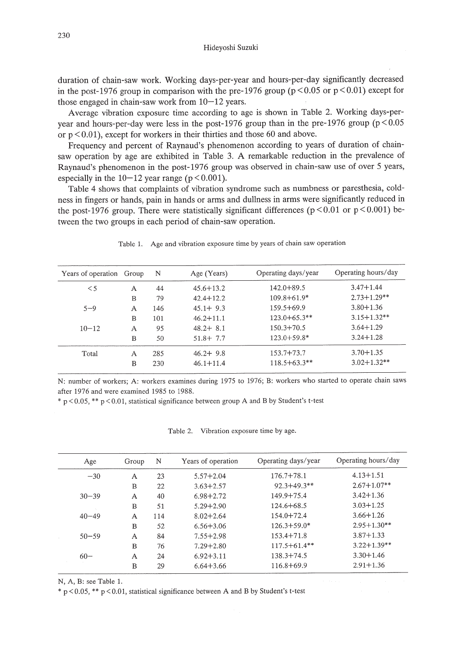Hideyoshi Suzuki

duration of chain-saw work. Working days-per-year and hours-per-day significantly decreased in the post-1976 group in comparison with the pre-1976 group ( $p < 0.05$  or  $p < 0.01$ ) except for those engaged in chain-saw work from  $10-12$  years.

Average vibration exposure time according to age is shown in Table 2. Working days-peryear and hours-per-day were less in the post-1976 group than in the pre-1976 group ( $p < 0.05$ or  $p < 0.01$ ), except for workers in their thirties and those 60 and above.

Frequency and percent of Raynaud's phenomenon according to years of duration of chainsaw operation by age are exhibited in Table 3. A remarkable reduction in the prevalence of Raynaud's phenomenon in the post-1976 group was observed in chain-saw use of over 5 years, especially in the  $10-12$  year range ( $p < 0.001$ ).

Table 4 shows that complaints of vibration syndrome such as numbness or paresthesia, coldness in fingers or hands, pain in hands or arms and dullness in arms were significantly reduced in the post-1976 group. There were statistically significant differences ( $p < 0.01$  or  $p < 0.001$ ) between the two groups in each period of chain-saw operation.

| Years of operation Group |   | N   | Age (Years)   | Operating days/year | Operating hours/day |
|--------------------------|---|-----|---------------|---------------------|---------------------|
| $\leq 5$                 | A | 44  | $45.6 + 13.2$ | $142.0 + 89.5$      | $3.47 + 1.44$       |
|                          | B | 79  | $42.4 + 12.2$ | $109.8 + 61.9*$     | $2.73 + 1.29**$     |
| $5 - 9$                  | А | 146 | $45.1 + 9.3$  | $159.5 + 69.9$      | $3.80 + 1.36$       |
|                          | B | 101 | $46.2 + 11.1$ | $123.0 + 65.3**$    | $3.15 + 1.32**$     |
| $10 - 12$                | А | 95  | $48.2 + 8.1$  | $150.3 + 70.5$      | $3.64 + 1.29$       |
|                          | B | 50  | $51.8 + 7.7$  | $123.0 + 59.8*$     | $3.24 + 1.28$       |
| Total                    | A | 285 | $46.2 + 9.8$  | $153.7 + 73.7$      | $3.70 + 1.35$       |
|                          | B | 230 | $46.1 + 11.4$ | $118.5 + 63.3**$    | $3.02 + 1.32**$     |

Table 1. Age and vibration exposure time by years of chain saw operation

N: number of workers; A: workers examines during 1975 to 1976; B: workers who started to operate chain saws after 1976 and were examined 1985 to 1988.

\*  $p < 0.05$ , \*\*  $p < 0.01$ , statistical significance between group A and B by Student's t-test

Table 2. Vibration exposure time by age.

| Age       | Group | N   | Years of operation | Operating days/year | Operating hours/day |
|-----------|-------|-----|--------------------|---------------------|---------------------|
| $-30$     | A     | 23  | $5.57 + 2.04$      | $176.7 + 78.1$      | $4.13 + 1.51$       |
|           | B     | 22  | $3.63 + 2.57$      | $92.3 + 49.3$ **    | $2.67 + 1.07**$     |
| $30 - 39$ | A     | 40  | $6.98 + 2.72$      | $149.9 + 75.4$      | $3.42 + 1.36$       |
|           | B     | 51  | $5.29 + 2.90$      | $124.6 + 68.5$      | $3.03 + 1.25$       |
| $40 - 49$ | A     | 114 | $8.02 + 2.64$      | 154.0+72.4          | $3.66 + 1.26$       |
|           | B     | 52  | $6.56 + 3.06$      | $126.3 + 59.0*$     | $2.95 + 1.30**$     |
| $50 - 59$ | A     | 84  | $7.55 + 2.98$      | $153.4 + 71.8$      | $3.87 + 1.33$       |
|           | B     | 76  | $7.29 + 2.80$      | $117.5 + 61.4**$    | $3.22 + 1.39**$     |
| $60-$     | A     | 24  | $6.92 + 3.11$      | $138.3 + 74.5$      | $3.30 + 1.46$       |
|           | B     | 29  | $6.64 + 3.66$      | $116.8 + 69.9$      | $2.91 + 1.36$       |

N, A, B: see Table 1.

 $*$  p < 0.05, \*\* p < 0.01, statistical significance between A and B by Student's t-test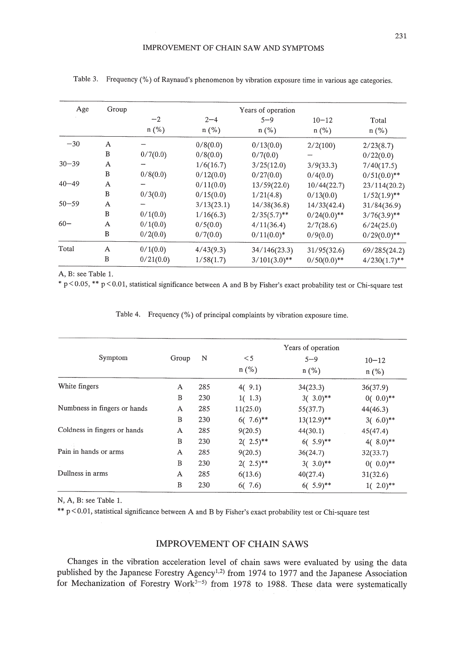| Age       | Group | Years of operation |            |                 |              |                 |  |  |
|-----------|-------|--------------------|------------|-----------------|--------------|-----------------|--|--|
|           |       | $-2$               | $2 - 4$    | $5 - 9$         | $10 - 12$    | Total           |  |  |
|           |       | $n$ (%)            | $n$ (%)    | $n$ (%)         | $n$ (%)      | $n$ (%)         |  |  |
| $-30$     | A     |                    | 0/8(0.0)   | 0/13(0.0)       | 2/2(100)     | 2/23(8.7)       |  |  |
|           | B     | 0/7(0.0)           | 0/8(0.0)   | 0/7(0.0)        |              | 0/22(0.0)       |  |  |
| $30 - 39$ | A     |                    | 1/6(16.7)  | 3/25(12.0)      | 3/9(33.3)    | 7/40(17.5)      |  |  |
|           | B     | 0/8(0.0)           | 0/12(0.0)  | 0/27(0.0)       | 0/4(0.0)     | $0/51(0.0)**$   |  |  |
| $40 - 49$ | A     |                    | 0/11(0.0)  | 13/59(22.0)     | 10/44(22.7)  | 23/114(20.2)    |  |  |
|           | B     | 0/3(0.0)           | 0/15(0.0)  | 1/21(4.8)       | 0/13(0.0)    | $1/52(1.9)$ **  |  |  |
| $50 - 59$ | A     |                    | 3/13(23.1) | 14/38(36.8)     | 14/33(42.4)  | 31/84(36.9)     |  |  |
|           | B     | 0/1(0.0)           | 1/16(6.3)  | $2/35(5.7)$ **  | $0/24(0.0)*$ | $3/76(3.9)$ **  |  |  |
| $60 -$    | A     | 0/1(0.0)           | 0/5(0.0)   | 4/11(36.4)      | 2/7(28.6)    | 6/24(25.0)      |  |  |
|           | B     | 0/2(0.0)           | 0/7(0.0)   | $0/11(0.0)^*$   | 0/9(0.0)     | $0/29(0.0)*$    |  |  |
| Total     | A     | 0/1(0.0)           | 4/43(9.3)  | 34/146(23.3)    | 31/95(32.6)  | 69/285(24.2)    |  |  |
|           | B     | 0/21(0.0)          | 1/58(1.7)  | $3/101(3.0)$ ** | $0/50(0.0)*$ | $4/230(1.7)$ ** |  |  |

Table 3. Frequency (%) of Raynaud's phenomenon by vibration exposure time in various age categories.

A, B: see Table 1.

 $*$  p < 0.05,  $**$  p < 0.01, statistical significance between A and B by Fisher's exact probability test or Chi-square test

Table 4. Frequency (%) of principal complaints by vibration exposure time.

|                              |       |     |                        | Years of operation |                      |
|------------------------------|-------|-----|------------------------|--------------------|----------------------|
| Symptom                      | Group | N   | $\leq$ 5<br>$n$ (%)    | $5 - 9$<br>$n$ (%) | $10 - 12$<br>$n$ (%) |
| White fingers                | A     | 285 | 4(9.1)                 | 34(23.3)           | 36(37.9)             |
|                              | B     | 230 | 1(1.3)                 | $3(3.0)$ **        | $0(0.0)*$            |
| Numbness in fingers or hands | A     | 285 | 11(25.0)               | 55(37.7)           | 44(46.3)             |
|                              | B     | 230 | $6(7.6)$ <sup>**</sup> | $13(12.9)$ **      | $3(6.0)$ **          |
| Coldness in fingers or hands | A     | 285 | 9(20.5)                | 44(30.1)           | 45(47.4)             |
|                              | B     | 230 | $2(2.5)$ <sup>**</sup> | $6(5.9)$ **        | $4(8.0)*$            |
| Pain in hands or arms        | A     | 285 | 9(20.5)                | 36(24.7)           | 32(33.7)             |
|                              | B     | 230 | $2(2.5)$ **            | $3(3.0)$ **        | $0(0.0)*$            |
| Dullness in arms             | A     | 285 | 6(13.6)                | 40(27.4)           | 31(32.6)             |
|                              | B     | 230 | 6(7.6)                 | $6(5.9)$ **        | $1(2.0)$ **          |

N, A, B: see Table 1.

\*\* P < 0.01, statistical significance between A and B by Fisher's exact probability test or Chi-square test

# IMPROVEMENT OF CHAIN SAWS

Changes in the vibration acceleration level of chain saws were evaluated by using the data published by the Japanese Forestry Agency<sup>1,2)</sup> from 1974 to 1977 and the Japanese Association for Mechanization of Forestry Work<sup>3-5)</sup> from 1978 to 1988. These data were systematically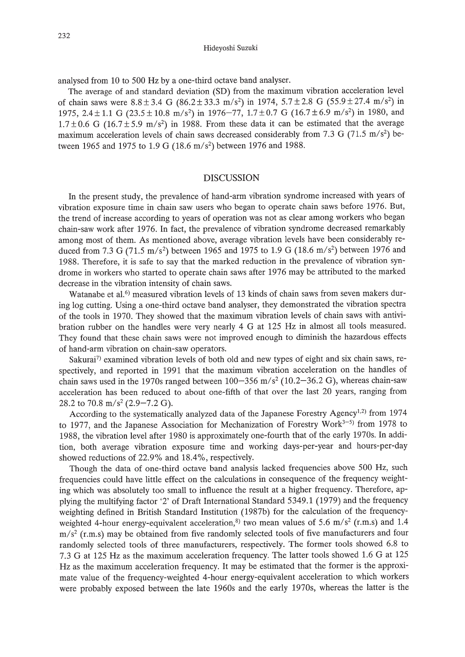analysed from 10 to 500 Hz by a one-third octave band analyser.

The average of and standard deviation (SD) from the maximum vibration acceleration level of chain saws were  $8.8 \pm 3.4$  G ( $86.2 \pm 33.3$  m/s<sup>2</sup>) in 1974,  $5.7 \pm 2.8$  G ( $55.9 \pm 27.4$  m/s<sup>2</sup>) in 1975,  $2.4 \pm 1.1$  G ( $23.5 \pm 10.8$  m/s<sup>2</sup>) in 1976-77,  $1.7 \pm 0.7$  G ( $16.7 \pm 6.9$  m/s<sup>2</sup>) in 1980, and  $1.7\pm0.6$  G (16.7 $\pm$ 5.9 m/s<sup>2</sup>) in 1988. From these data it can be estimated that the average maximum acceleration levels of chain saws decreased considerably from 7.3 G (71.5 m/s<sup>2</sup>) between 1965 and 1975 to 1.9 G (18.6 m/s<sup>2</sup>) between 1976 and 1988.

#### DISCUSSION

In the present study, the prevalence of hand-arm vibration syndrome increased with years of vibration exposure time in chain saw users who began to operate chain saws before 1976. But, the trend of increase according to years of operation was not as clear among workers who began chain-saw work after 1976. In fact, the prevalence of vibration syndrome decreased remarkably among most of them. As mentioned above, average vibration levels have been considerably reduced from 7.3 G (71.5 m/s<sup>2</sup>) between 1965 and 1975 to 1.9 G (18.6 m/s<sup>2</sup>) between 1976 and 1988. Therefore, it is safe to say that the marked reduction in the prevalence of vibration syndrome in workers who started to operate chain saws after 1976 may be attributed to the marked decrease in the vibration intensity of chain saws.

Watanabe et al.<sup> $6)$ </sup> measured vibration levels of 13 kinds of chain saws from seven makers during log cutting. Using a one-third octave band analyser, they demonstrated the vibration spectra of the tools in 1970. They showed that the maximum vibration levels of chain saws with antivibration rubber on the handles were very nearly 4 G at 125 Hz in almost all tools measured. They found that these chain saws were not improved enough to diminish the hazardous effects of hand-arm vibration on chain-saw operators.

Sakurai<sup>7)</sup> examined vibration levels of both old and new types of eight and six chain saws, respectively, and reported in 1991 that the maximum vibration acceleration on the handles of chain saws used in the 1970s ranged between  $100-356$  m/s<sup>2</sup> (10.2-36.2 G), whereas chain-saw acceleration has been reduced to about one-fifth of that over the last 20 years, ranging from 28.2 to 70.8 m/s<sup>2</sup> (2.9–7.2 G).

According to the systematically analyzed data of the Japanese Forestry Agency<sup>1,2)</sup> from 1974 to 1977, and the Japanese Association for Mechanization of Forestry Work $3-5$  from 1978 to 1988, the vibration level after 1980 is approximately one-fourth that of the early 1970s. In addition, both average vibration exposure time and working days-per-year and hours-per-day showed reductions of 22.9% and 18.4%, respectively.

Though the data of one-third octave band analysis lacked frequencies above 500 Hz, such frequencies could have little effect on the calculations in consequence of the frequency weighting which was absolutely too small to influence the result at a higher frequency. Therefore, applying the multifying factor '2' of Draft International Standard 5349.1 (1979) and the frequency weighting defined in British Standard Institution (1987b) for the calculation of the frequencyweighted 4-hour energy-equivalent acceleration,<sup>8)</sup> two mean values of 5.6 m/s<sup>2</sup> (r.m.s) and 1.4  $m/s<sup>2</sup>$  (r.m.s) may be obtained from five randomly selected tools of five manufacturers and four randomly selected tools of three manufacturers, respectively. The former tools showed 6.8 to 7.3 G at 125 Hz as the maximum acceleration frequency. The latter tools showed 1.6 G at 125 Hz as the maximum acceleration frequency. It may be estimated that the former is the approximate value of the frequency-weighted 4-hour energy-equivalent acceleration to which workers were probably exposed between the late 1960s and the early 1970s, whereas the latter is the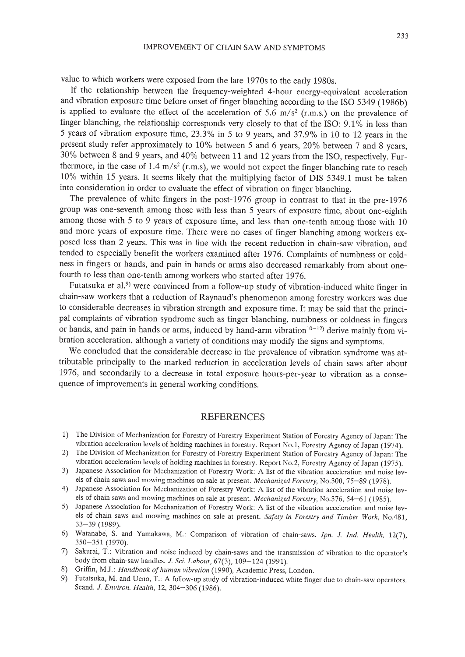value to which workers were exposed from the late 1970s to the early 1980s.

If the relationship between the frequency-weighted 4-hour energy-equivalent acceleration and vibration exposure time before onset of finger blanching according to the ISO 5349 (1986b) is applied to evaluate the effect of the acceleration of 5.6  $m/s<sup>2</sup>$  (r.m.s.) on the prevalence of finger blanching, the relationship corresponds very closely to that of the ISO: 9.1% in less than 5 years of vibration exposure time, 23.3% in 5 to 9 years, and 37.9% in 10 to 12 years in the present study refer approximately to 10% between 5 and 6 years, 20% between 7 and 8 years, 30% between 8 and 9 years, and 40% between 11 and 12 years from the ISO, respectively. Furthermore, in the case of 1.4 m/s<sup>2</sup> (r.m.s), we would not expect the finger blanching rate to reach 10% within 15 years. It seems likely that the multiplying factor of DIS 5349.1 must be taken into consideration in order to evaluate the effect of vibration on finger blanching.

The prevalence of white fingers in the post-1976 group in contrast to that in the pre-1976 group was one-seventh among those with less than 5 years of exposure time, about one-eighth among those with 5 to 9 years of exposure time, and less than one-tenth among those with 10 and more years of exposure time. There were no cases of finger blanching among workers exposed less than 2 years. This was in line with the recent reduction in chain-saw vibration, and tended to especially benefit the workers examined after 1976. Complaints of numbness or coldness in fingers or hands, and pain in hands or arms also decreased remarkably from about onefourth to less than one-tenth among workers who started after 1976.

Futatsuka et al.<sup>9)</sup> were convinced from a follow-up study of vibration-induced white finger in chain-saw workers that a reduction of Raynaud's phenomenon among forestry workers was due to considerable decreases in vibration strength and exposure time. It may be said that the principal complaints of vibration syndrome such as finger blanching, numbness or coldness in fingers or hands, and pain in hands or arms, induced by hand-arm vibration $10^{-12}$  derive mainly from vibration acceleration, although a variety of conditions may modify the signs and symptoms.

We concluded that the considerable decrease in the prevalence of vibration syndrome was attributable principally to the marked reduction in acceleration levels of chain saws after about 1976, and secondarily to a decrease in total exposure hours-per-year to vibration as a consequence of improvements in general working conditions.

## REFERENCES

- 1) The Division of Mechanization for Forestry of Forestry Experiment Station of Forestry Agency of Japan: The vibration acceleration levels of holding machines in forestry. Report No.1, Forestry Agency of Japan (1974).
- 2) The Division of Mechanization for Forestry of Forestry Experiment Station of Forestry Agency of Japan: The vibration acceleration levels of holding machines in forestry. Report No.2, Forestry Agency of Japan (1975).
- 3) Japanese Association for Mechanization of Forestry Work: A list of the vibration acceleration and noise levels of chain saws and mowing machines on sale at present. *Mechanized Forestry,* No.300, 75-89 (1978).
- 4) Japanese Association for Mechanization of Forestry Work: A list of the vibration acceleration and noise levels of chain saws and mowing machines on sale at present. *Mechanized Forestry,* No.376, 54-61 (1985).
- 5) Japanese Association for Mechanization of Forestry Work: A list of the vibration acceleration and noise levels of chain saws and mowing machines on sale at present. *Safety in Forestry and Timber Work,* NoA81, 33-39 (1989).
- 6) Watanabe, S. and Yamakawa, M.: Comparison of vibration of chain-saws. *lpn. l. Ind. Health, 12(7),* 350-351 (1970).
- 7) Sakurai, T.: Vibration and noise induced by chain-saws and the transmission of vibration to the operator's body from chain-saw handles. *l. Sci. Labour,* 67(3),109-124 (1991).
- 8) Griffin, M.J.: *Handbook of human vibration* (1990), Academic Press, London.
- 9) Futatsuka, M. and *Veno,* T.: A follow-up study of vibration-induced white finger due to chain-saw operators. Scand. *l. Environ. Health,* 12,304-306 (1986).